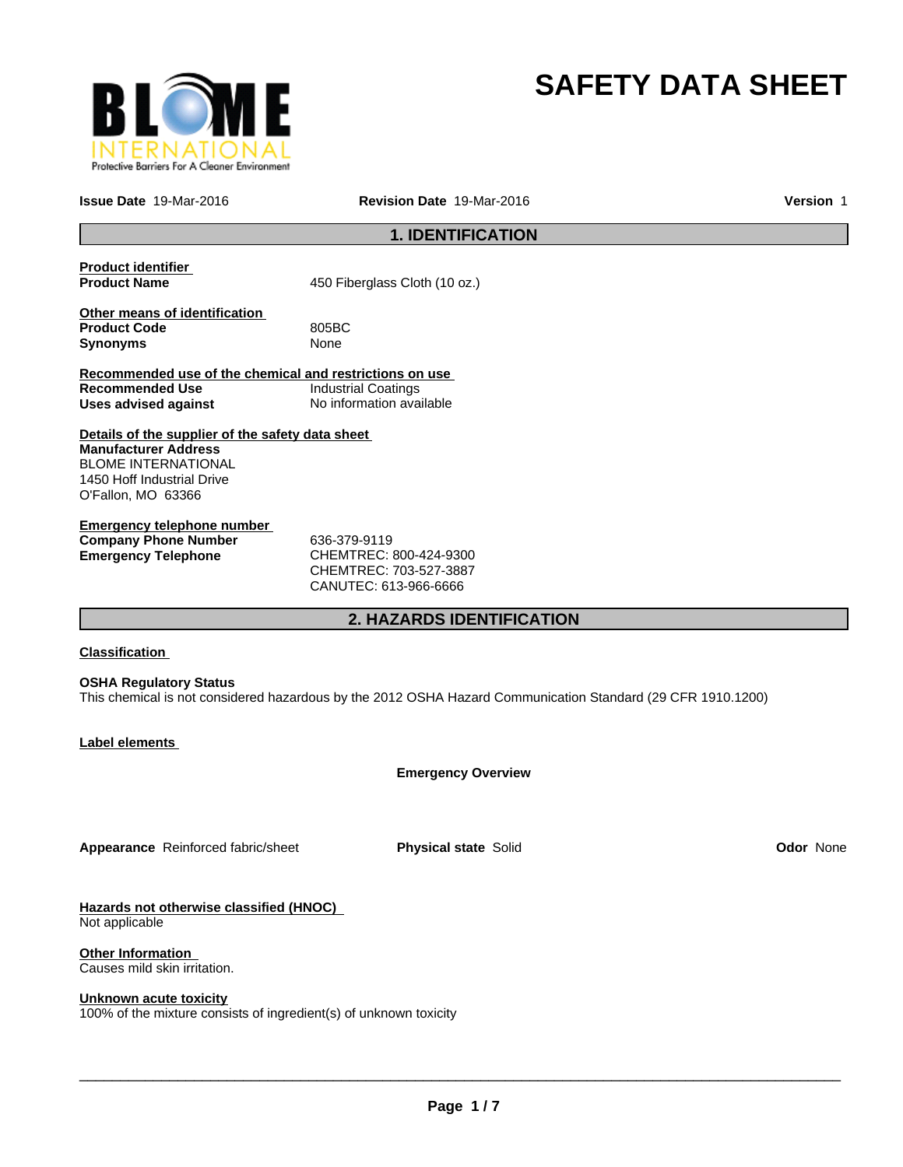

# **SAFETY DATA SHEET**

**Issue Date** 19-Mar-2016

**Revision Date** 19-Mar-2016 **Version** 1

# **1. IDENTIFICATION**

| <b>Product identifier</b><br><b>Product Name</b>                                                                                                                  | 450 Fiberglass Cloth (10 oz.)                                                                               |                  |  |
|-------------------------------------------------------------------------------------------------------------------------------------------------------------------|-------------------------------------------------------------------------------------------------------------|------------------|--|
| Other means of identification<br><b>Product Code</b><br><b>Synonyms</b>                                                                                           | 805BC<br>None                                                                                               |                  |  |
| Recommended use of the chemical and restrictions on use<br><b>Recommended Use</b><br><b>Uses advised against</b>                                                  | <b>Industrial Coatings</b><br>No information available                                                      |                  |  |
| Details of the supplier of the safety data sheet<br><b>Manufacturer Address</b><br><b>BLOME INTERNATIONAL</b><br>1450 Hoff Industrial Drive<br>O'Fallon, MO 63366 |                                                                                                             |                  |  |
| <b>Emergency telephone number</b><br><b>Company Phone Number</b><br><b>Emergency Telephone</b>                                                                    | 636-379-9119<br>CHEMTREC: 800-424-9300<br>CHEMTREC: 703-527-3887<br>CANUTEC: 613-966-6666                   |                  |  |
|                                                                                                                                                                   | <b>2. HAZARDS IDENTIFICATION</b>                                                                            |                  |  |
| <b>Classification</b>                                                                                                                                             |                                                                                                             |                  |  |
| <b>OSHA Regulatory Status</b>                                                                                                                                     | This chemical is not considered hazardous by the 2012 OSHA Hazard Communication Standard (29 CFR 1910.1200) |                  |  |
| Label elements                                                                                                                                                    |                                                                                                             |                  |  |
|                                                                                                                                                                   | <b>Emergency Overview</b>                                                                                   |                  |  |
| Appearance Reinforced fabric/sheet                                                                                                                                | <b>Physical state Solid</b>                                                                                 | <b>Odor None</b> |  |
| Hazards not otherwise classified (HNOC)<br>Not applicable                                                                                                         |                                                                                                             |                  |  |

**Other Information**  Causes mild skin irritation.

#### **Unknown acute toxicity**

100% of the mixture consists of ingredient(s) of unknown toxicity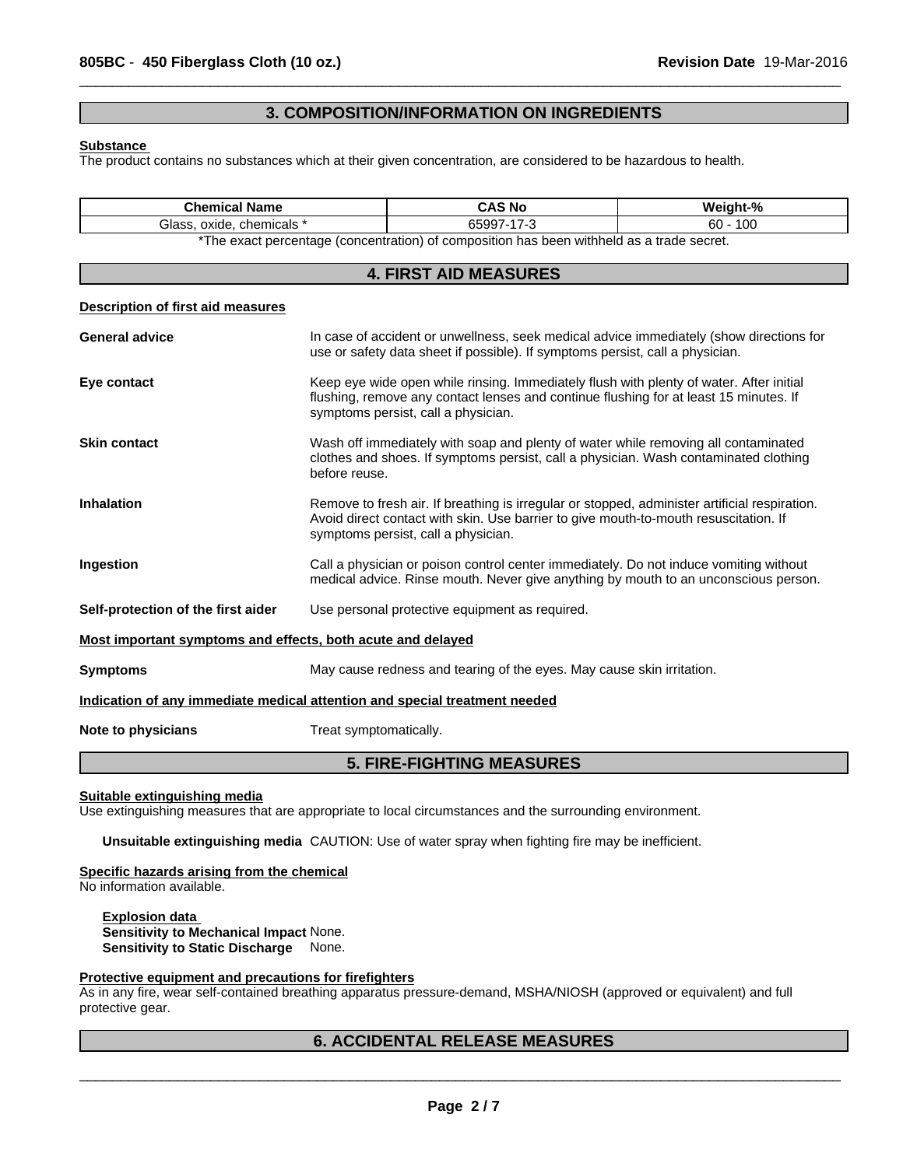## **3. COMPOSITION/INFORMATION ON INGREDIENTS**

 $\overline{\phantom{a}}$  ,  $\overline{\phantom{a}}$  ,  $\overline{\phantom{a}}$  ,  $\overline{\phantom{a}}$  ,  $\overline{\phantom{a}}$  ,  $\overline{\phantom{a}}$  ,  $\overline{\phantom{a}}$  ,  $\overline{\phantom{a}}$  ,  $\overline{\phantom{a}}$  ,  $\overline{\phantom{a}}$  ,  $\overline{\phantom{a}}$  ,  $\overline{\phantom{a}}$  ,  $\overline{\phantom{a}}$  ,  $\overline{\phantom{a}}$  ,  $\overline{\phantom{a}}$  ,  $\overline{\phantom{a}}$ 

#### **Substance**

The product contains no substances which at their given concentration, are considered to be hazardous to health.

| <b>Chemical Name</b>                                                       |                        | <b>CAS No</b>                                                                                                               | Weight-%                                                                                                                                                                         |
|----------------------------------------------------------------------------|------------------------|-----------------------------------------------------------------------------------------------------------------------------|----------------------------------------------------------------------------------------------------------------------------------------------------------------------------------|
| Glass, oxide, chemicals *                                                  |                        | 65997-17-3                                                                                                                  | $60 - 100$                                                                                                                                                                       |
|                                                                            |                        | *The exact percentage (concentration) of composition has been withheld as a trade secret.                                   |                                                                                                                                                                                  |
|                                                                            |                        | <b>4. FIRST AID MEASURES</b>                                                                                                |                                                                                                                                                                                  |
| <b>Description of first aid measures</b>                                   |                        |                                                                                                                             |                                                                                                                                                                                  |
| <b>General advice</b>                                                      |                        | use or safety data sheet if possible). If symptoms persist, call a physician.                                               | In case of accident or unwellness, seek medical advice immediately (show directions for                                                                                          |
| Eye contact                                                                |                        | symptoms persist, call a physician.                                                                                         | Keep eye wide open while rinsing. Immediately flush with plenty of water. After initial<br>flushing, remove any contact lenses and continue flushing for at least 15 minutes. If |
| <b>Skin contact</b>                                                        | before reuse.          |                                                                                                                             | Wash off immediately with soap and plenty of water while removing all contaminated<br>clothes and shoes. If symptoms persist, call a physician. Wash contaminated clothing       |
| <b>Inhalation</b>                                                          |                        | Avoid direct contact with skin. Use barrier to give mouth-to-mouth resuscitation. If<br>symptoms persist, call a physician. | Remove to fresh air. If breathing is irregular or stopped, administer artificial respiration.                                                                                    |
| Ingestion                                                                  |                        |                                                                                                                             | Call a physician or poison control center immediately. Do not induce vomiting without<br>medical advice. Rinse mouth. Never give anything by mouth to an unconscious person.     |
| Self-protection of the first aider                                         |                        | Use personal protective equipment as required.                                                                              |                                                                                                                                                                                  |
| Most important symptoms and effects, both acute and delayed                |                        |                                                                                                                             |                                                                                                                                                                                  |
| <b>Symptoms</b>                                                            |                        | May cause redness and tearing of the eyes. May cause skin irritation.                                                       |                                                                                                                                                                                  |
| Indication of any immediate medical attention and special treatment needed |                        |                                                                                                                             |                                                                                                                                                                                  |
| Note to physicians                                                         | Treat symptomatically. |                                                                                                                             |                                                                                                                                                                                  |

# **5. FIRE-FIGHTING MEASURES**

**Suitable extinguishing media**

Use extinguishing measures that are appropriate to local circumstances and the surrounding environment.

**Unsuitable extinguishing media** CAUTION: Use of water spray when fighting fire may be inefficient.

#### **Specific hazards arising from the chemical**

No information available.

**Explosion data Sensitivity to Mechanical Impact** None. **Sensitivity to Static Discharge** None.

#### **Protective equipment and precautions for firefighters**

As in any fire, wear self-contained breathing apparatus pressure-demand, MSHA/NIOSH (approved or equivalent) and full protective gear.

# **6. ACCIDENTAL RELEASE MEASURES**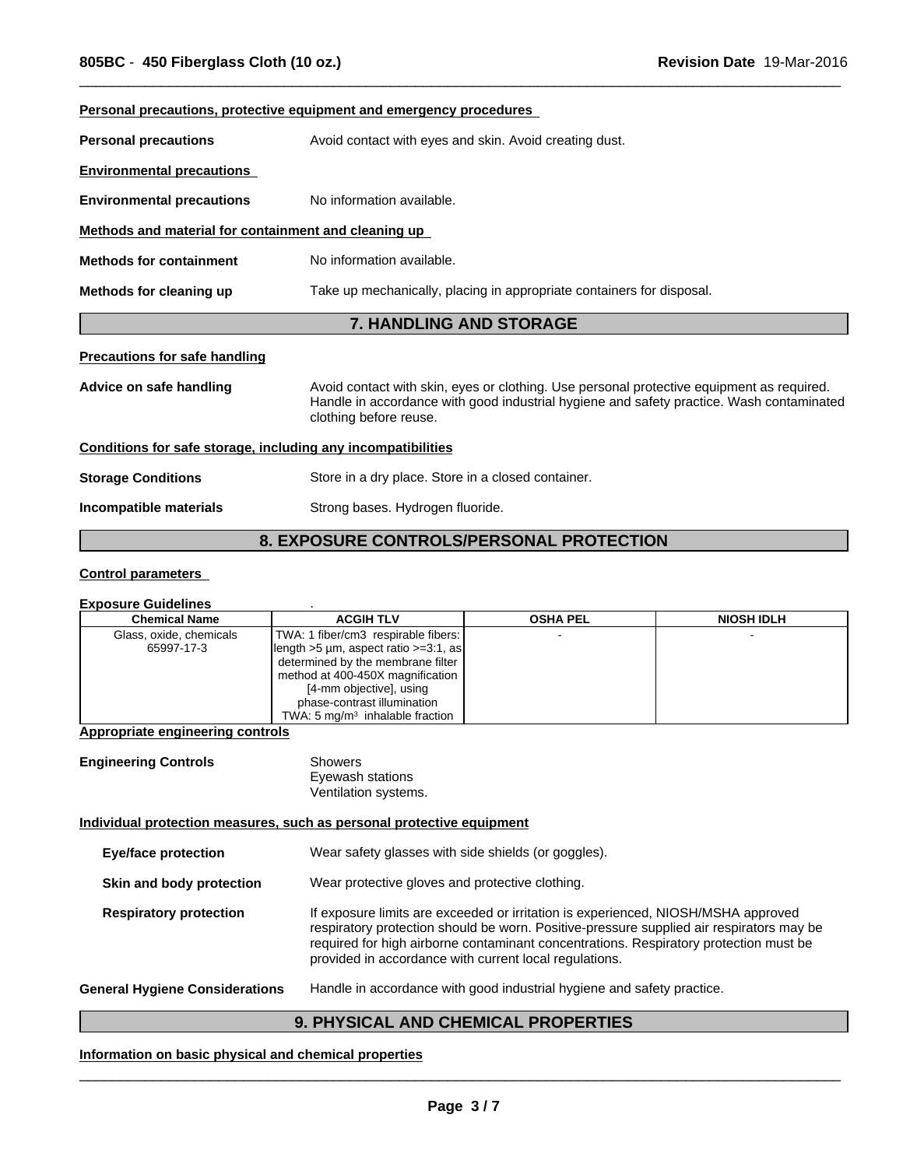|                                                              | Personal precautions, protective equipment and emergency procedures                                                                                                                                             |
|--------------------------------------------------------------|-----------------------------------------------------------------------------------------------------------------------------------------------------------------------------------------------------------------|
| <b>Personal precautions</b>                                  | Avoid contact with eyes and skin. Avoid creating dust.                                                                                                                                                          |
| <b>Environmental precautions</b>                             |                                                                                                                                                                                                                 |
| <b>Environmental precautions</b>                             | No information available.                                                                                                                                                                                       |
| Methods and material for containment and cleaning up         |                                                                                                                                                                                                                 |
| <b>Methods for containment</b>                               | No information available.                                                                                                                                                                                       |
| Methods for cleaning up                                      | Take up mechanically, placing in appropriate containers for disposal.                                                                                                                                           |
|                                                              |                                                                                                                                                                                                                 |
|                                                              | <b>7. HANDLING AND STORAGE</b>                                                                                                                                                                                  |
| <b>Precautions for safe handling</b>                         |                                                                                                                                                                                                                 |
| Advice on safe handling                                      | Avoid contact with skin, eyes or clothing. Use personal protective equipment as required.<br>Handle in accordance with good industrial hygiene and safety practice. Wash contaminated<br>clothing before reuse. |
| Conditions for safe storage, including any incompatibilities |                                                                                                                                                                                                                 |
| <b>Storage Conditions</b>                                    | Store in a dry place. Store in a closed container.                                                                                                                                                              |

 $\overline{\phantom{a}}$  ,  $\overline{\phantom{a}}$  ,  $\overline{\phantom{a}}$  ,  $\overline{\phantom{a}}$  ,  $\overline{\phantom{a}}$  ,  $\overline{\phantom{a}}$  ,  $\overline{\phantom{a}}$  ,  $\overline{\phantom{a}}$  ,  $\overline{\phantom{a}}$  ,  $\overline{\phantom{a}}$  ,  $\overline{\phantom{a}}$  ,  $\overline{\phantom{a}}$  ,  $\overline{\phantom{a}}$  ,  $\overline{\phantom{a}}$  ,  $\overline{\phantom{a}}$  ,  $\overline{\phantom{a}}$ 

# **8. EXPOSURE CONTROLS/PERSONAL PROTECTION**

## **Control parameters**

#### **Exposure Guidelines** .

| <b>Chemical Name</b>    | <b>ACGIH TLV</b>                                      | <b>OSHA PEL</b> | <b>NIOSH IDLH</b> |
|-------------------------|-------------------------------------------------------|-----------------|-------------------|
| Glass, oxide, chemicals | TWA: 1 fiber/cm3 respirable fibers:                   |                 |                   |
| 65997-17-3              | $\left  \right $ length >5 µm, aspect ratio >=3:1, as |                 |                   |
|                         | determined by the membrane filter                     |                 |                   |
|                         | method at 400-450X magnification                      |                 |                   |
|                         | [4-mm objective], using                               |                 |                   |
|                         | phase-contrast illumination                           |                 |                   |
|                         | TWA: 5 $mq/m3$ inhalable fraction                     |                 |                   |

## **Appropriate engineering controls**

| <b>Engineering Controls</b> | Showers              |  |
|-----------------------------|----------------------|--|
|                             | Eyewash stations     |  |
|                             | Ventilation systems. |  |

## **Individual protection measures, such as personal protective equipment**

| <b>Eye/face protection</b>            | Wear safety glasses with side shields (or goggles).                                                                                                                                                                                                                                                                              |
|---------------------------------------|----------------------------------------------------------------------------------------------------------------------------------------------------------------------------------------------------------------------------------------------------------------------------------------------------------------------------------|
| Skin and body protection              | Wear protective gloves and protective clothing.                                                                                                                                                                                                                                                                                  |
| <b>Respiratory protection</b>         | If exposure limits are exceeded or irritation is experienced, NIOSH/MSHA approved<br>respiratory protection should be worn. Positive-pressure supplied air respirators may be<br>required for high airborne contaminant concentrations. Respiratory protection must be<br>provided in accordance with current local regulations. |
| <b>General Hygiene Considerations</b> | Handle in accordance with good industrial hygiene and safety practice.                                                                                                                                                                                                                                                           |

# **9. PHYSICAL AND CHEMICAL PROPERTIES**

## **Information on basic physical and chemical properties**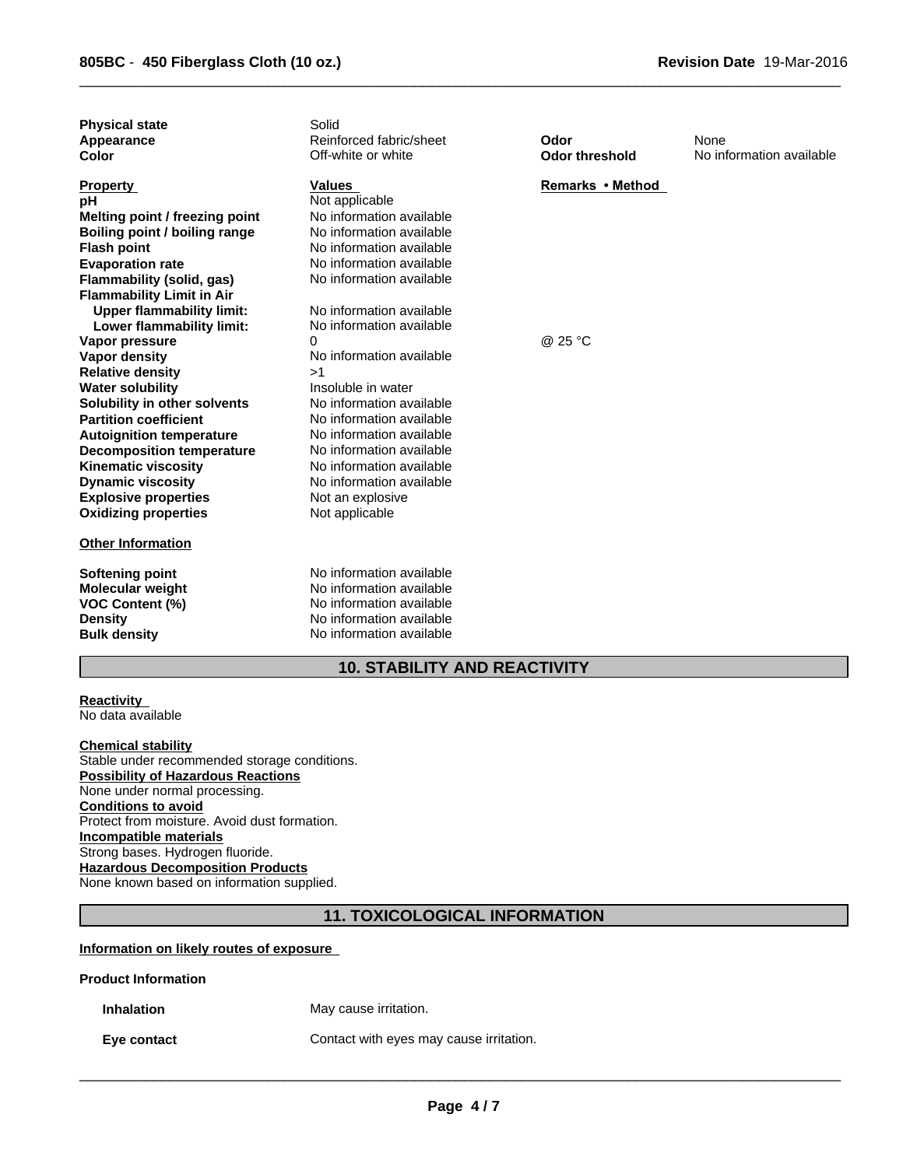| <b>Physical state</b><br>Appearance<br>Color                                    | Solid<br>Reinforced fabric/sheet<br>Off-white or white                                                                                   | Odor<br><b>Odor threshold</b> | None<br>No information available |
|---------------------------------------------------------------------------------|------------------------------------------------------------------------------------------------------------------------------------------|-------------------------------|----------------------------------|
| <b>Property</b><br>pН<br>Melting point / freezing point                         | <b>Values</b><br>Not applicable<br>No information available                                                                              | Remarks • Method              |                                  |
| Boiling point / boiling range                                                   | No information available                                                                                                                 |                               |                                  |
| <b>Flash point</b>                                                              | No information available                                                                                                                 |                               |                                  |
| <b>Evaporation rate</b>                                                         | No information available                                                                                                                 |                               |                                  |
| Flammability (solid, gas)                                                       | No information available                                                                                                                 |                               |                                  |
| <b>Flammability Limit in Air</b>                                                |                                                                                                                                          |                               |                                  |
| <b>Upper flammability limit:</b>                                                | No information available                                                                                                                 |                               |                                  |
| Lower flammability limit:                                                       | No information available                                                                                                                 |                               |                                  |
| Vapor pressure                                                                  | 0                                                                                                                                        | @ 25 °C                       |                                  |
| <b>Vapor density</b>                                                            | No information available                                                                                                                 |                               |                                  |
| <b>Relative density</b>                                                         | >1                                                                                                                                       |                               |                                  |
| <b>Water solubility</b>                                                         | Insoluble in water                                                                                                                       |                               |                                  |
| Solubility in other solvents                                                    | No information available                                                                                                                 |                               |                                  |
| <b>Partition coefficient</b>                                                    | No information available                                                                                                                 |                               |                                  |
| <b>Autoignition temperature</b>                                                 | No information available                                                                                                                 |                               |                                  |
| <b>Decomposition temperature</b>                                                | No information available                                                                                                                 |                               |                                  |
| <b>Kinematic viscosity</b>                                                      | No information available                                                                                                                 |                               |                                  |
| <b>Dynamic viscosity</b>                                                        | No information available                                                                                                                 |                               |                                  |
| <b>Explosive properties</b>                                                     | Not an explosive                                                                                                                         |                               |                                  |
| <b>Oxidizing properties</b>                                                     | Not applicable                                                                                                                           |                               |                                  |
| <b>Other Information</b>                                                        |                                                                                                                                          |                               |                                  |
| Softening point<br><b>Molecular weight</b><br>VOC Content (%)<br><b>Density</b> | No information available<br>No information available<br>No information available<br>No information available<br>No information available |                               |                                  |
| <b>Bulk density</b>                                                             |                                                                                                                                          |                               |                                  |

 $\overline{\phantom{a}}$  ,  $\overline{\phantom{a}}$  ,  $\overline{\phantom{a}}$  ,  $\overline{\phantom{a}}$  ,  $\overline{\phantom{a}}$  ,  $\overline{\phantom{a}}$  ,  $\overline{\phantom{a}}$  ,  $\overline{\phantom{a}}$  ,  $\overline{\phantom{a}}$  ,  $\overline{\phantom{a}}$  ,  $\overline{\phantom{a}}$  ,  $\overline{\phantom{a}}$  ,  $\overline{\phantom{a}}$  ,  $\overline{\phantom{a}}$  ,  $\overline{\phantom{a}}$  ,  $\overline{\phantom{a}}$ 

# **10. STABILITY AND REACTIVITY**

#### **Reactivity**  No data available

**Chemical stability** Stable under recommended storage conditions. **Possibility of Hazardous Reactions** None under normal processing. **Conditions to avoid** Protect from moisture. Avoid dust formation. **Incompatible materials** Strong bases. Hydrogen fluoride. **Hazardous Decomposition Products** None known based on information supplied.

# **11. TOXICOLOGICAL INFORMATION**

## **Information on likely routes of exposure**

## **Product Information**

**Inhalation** May cause irritation.

**Eye contact Contact** Contact with eyes may cause irritation.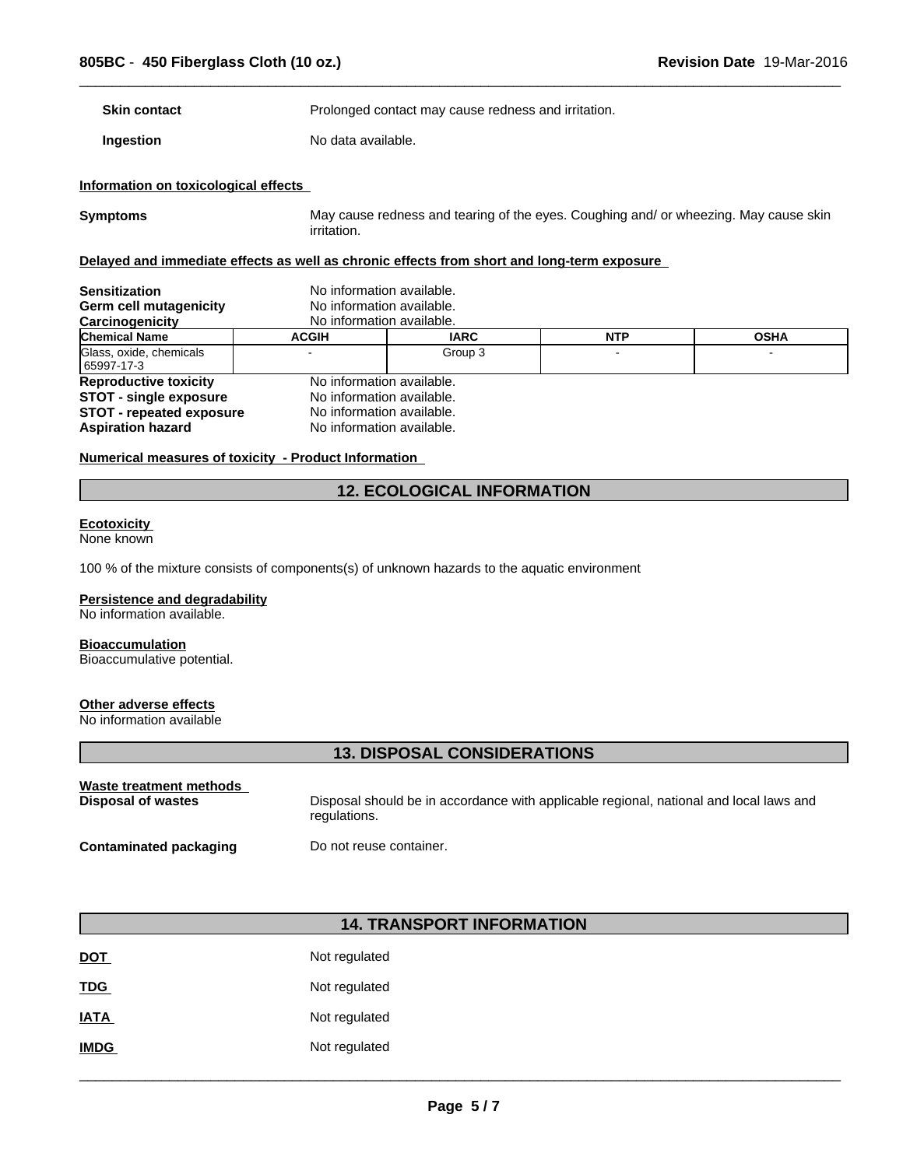**Skin contact Example 2018** Prolonged contact may cause redness and irritation.

**Ingestion** No data available.

## **Information on toxicological effects**

**Symptoms** May cause redness and tearing of the eyes. Coughing and/ or wheezing. May cause skin irritation.

 $\overline{\phantom{a}}$  ,  $\overline{\phantom{a}}$  ,  $\overline{\phantom{a}}$  ,  $\overline{\phantom{a}}$  ,  $\overline{\phantom{a}}$  ,  $\overline{\phantom{a}}$  ,  $\overline{\phantom{a}}$  ,  $\overline{\phantom{a}}$  ,  $\overline{\phantom{a}}$  ,  $\overline{\phantom{a}}$  ,  $\overline{\phantom{a}}$  ,  $\overline{\phantom{a}}$  ,  $\overline{\phantom{a}}$  ,  $\overline{\phantom{a}}$  ,  $\overline{\phantom{a}}$  ,  $\overline{\phantom{a}}$ 

## **Delayed and immediate effects as well as chronic effects from short and long-term exposure**

| <b>Sensitization</b><br>Germ cell mutagenicity<br>Carcinogenicity | No information available.<br>No information available.<br>No information available. |             |            |             |
|-------------------------------------------------------------------|-------------------------------------------------------------------------------------|-------------|------------|-------------|
| <b>Chemical Name</b>                                              | <b>ACGIH</b>                                                                        | <b>IARC</b> | <b>NTP</b> | <b>OSHA</b> |
| Glass, oxide, chemicals<br>  65997-17-3                           |                                                                                     | Group 3     |            |             |
| <b>Reproductive toxicity</b>                                      | No information available.                                                           |             |            |             |
| <b>STOT - single exposure</b>                                     | No information available.                                                           |             |            |             |
| <b>STOT - repeated exposure</b>                                   | No information available.                                                           |             |            |             |
| <b>Aspiration hazard</b>                                          | No information available.                                                           |             |            |             |

#### **Numerical measures of toxicity - Product Information**

# **12. ECOLOGICAL INFORMATION**

#### **Ecotoxicity**

None known

100 % of the mixture consists of components(s) of unknown hazards to the aquatic environment

#### **Persistence and degradability**

No information available.

### **Bioaccumulation**

Bioaccumulative potential.

## **Other adverse effects**

No information available

# **13. DISPOSAL CONSIDERATIONS**

| Waste treatment methods       | Disposal should be in accordance with applicable regional, national and local laws and |
|-------------------------------|----------------------------------------------------------------------------------------|
| Disposal of wastes            | regulations.                                                                           |
| <b>Contaminated packaging</b> | Do not reuse container.                                                                |

# **14. TRANSPORT INFORMATION**

| <b>DOT</b>  | Not regulated |
|-------------|---------------|
| <b>TDG</b>  | Not regulated |
| <b>IATA</b> | Not regulated |
| <b>IMDG</b> | Not regulated |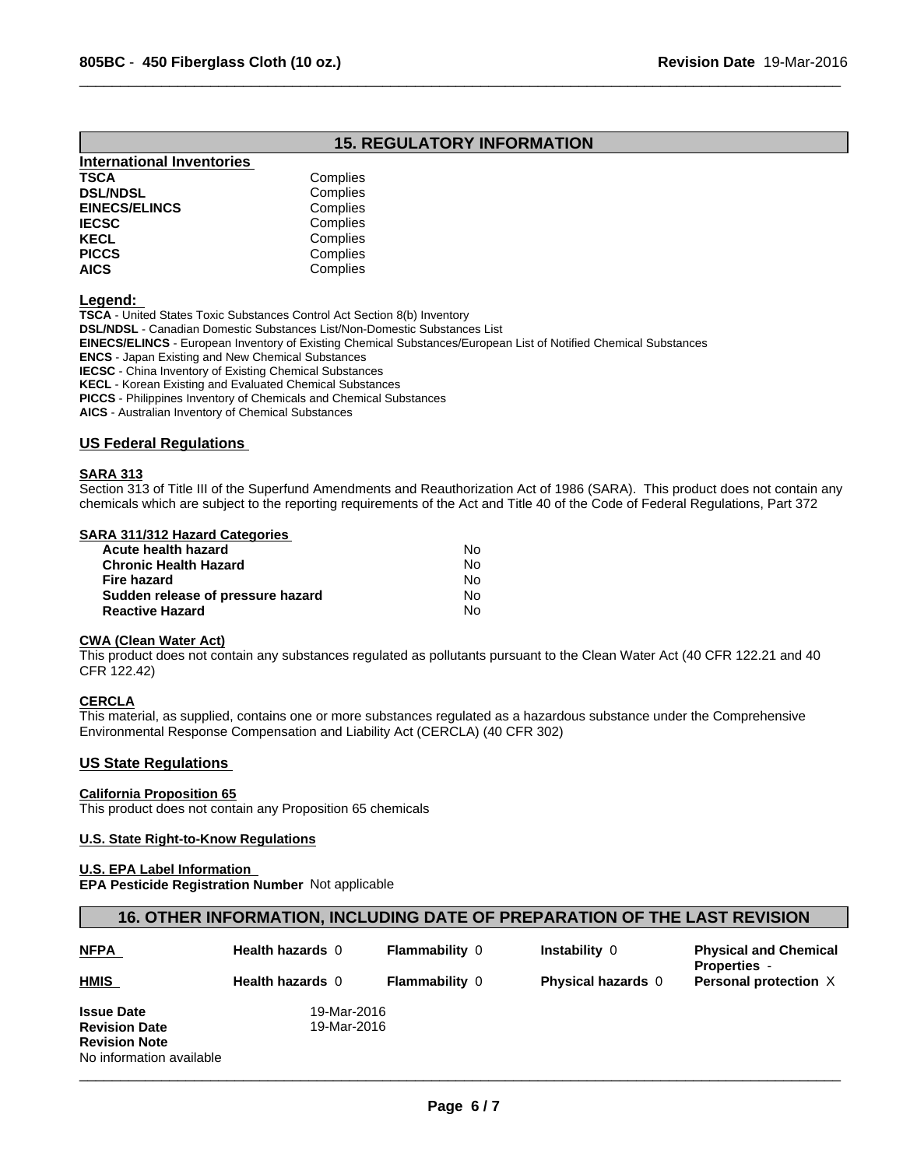# **15. REGULATORY INFORMATION**

 $\overline{\phantom{a}}$  ,  $\overline{\phantom{a}}$  ,  $\overline{\phantom{a}}$  ,  $\overline{\phantom{a}}$  ,  $\overline{\phantom{a}}$  ,  $\overline{\phantom{a}}$  ,  $\overline{\phantom{a}}$  ,  $\overline{\phantom{a}}$  ,  $\overline{\phantom{a}}$  ,  $\overline{\phantom{a}}$  ,  $\overline{\phantom{a}}$  ,  $\overline{\phantom{a}}$  ,  $\overline{\phantom{a}}$  ,  $\overline{\phantom{a}}$  ,  $\overline{\phantom{a}}$  ,  $\overline{\phantom{a}}$ 

| <b>International Inventories</b> |          |  |
|----------------------------------|----------|--|
| <b>TSCA</b>                      | Complies |  |
| <b>DSL/NDSL</b>                  | Complies |  |
| <b>EINECS/ELINCS</b>             | Complies |  |
| <b>IECSC</b>                     | Complies |  |
| <b>KECL</b>                      | Complies |  |
| <b>PICCS</b>                     | Complies |  |
| <b>AICS</b>                      | Complies |  |

**Legend:** 

**TSCA** - United States Toxic Substances Control Act Section 8(b) Inventory **DSL/NDSL** - Canadian Domestic Substances List/Non-Domestic Substances List

**EINECS/ELINCS** - European Inventory of Existing Chemical Substances/European List of Notified Chemical Substances

**ENCS** - Japan Existing and New Chemical Substances

**IECSC** - China Inventory of Existing Chemical Substances

**KECL** - Korean Existing and Evaluated Chemical Substances

**PICCS** - Philippines Inventory of Chemicals and Chemical Substances

**AICS** - Australian Inventory of Chemical Substances

#### **US Federal Regulations**

#### **SARA 313**

Section 313 of Title III of the Superfund Amendments and Reauthorization Act of 1986 (SARA). This product does not contain any chemicals which are subject to the reporting requirements of the Act and Title 40 of the Code of Federal Regulations, Part 372

## **SARA 311/312 Hazard Categories**

| Acute health hazard               | No. |  |
|-----------------------------------|-----|--|
| Chronic Health Hazard             | Nο  |  |
| Fire hazard                       | No. |  |
| Sudden release of pressure hazard | No. |  |
| <b>Reactive Hazard</b>            | N٥  |  |

#### **CWA (Clean Water Act)**

This product does not contain any substances regulated as pollutants pursuant to the Clean Water Act (40 CFR 122.21 and 40 CFR 122.42)

## **CERCLA**

This material, as supplied, contains one or more substances regulated as a hazardous substance under the Comprehensive Environmental Response Compensation and Liability Act (CERCLA) (40 CFR 302)

## **US State Regulations**

## **California Proposition 65**

This product does not contain any Proposition 65 chemicals

#### **U.S. State Right-to-Know Regulations**

#### **U.S. EPA Label Information**

**EPA Pesticide Registration Number** Not applicable

## **16. OTHER INFORMATION, INCLUDING DATE OF PREPARATION OF THE LAST REVISION**

| <b>NFPA</b>              | <b>Health hazards 0</b> | <b>Flammability 0</b> | Instability 0             | <b>Physical and Chemical</b><br><b>Properties -</b> |
|--------------------------|-------------------------|-----------------------|---------------------------|-----------------------------------------------------|
| <b>HMIS</b>              | <b>Health hazards 0</b> | <b>Flammability 0</b> | <b>Physical hazards</b> 0 | Personal protection X                               |
| <b>Issue Date</b>        | 19-Mar-2016             |                       |                           |                                                     |
| <b>Revision Date</b>     | 19-Mar-2016             |                       |                           |                                                     |
| <b>Revision Note</b>     |                         |                       |                           |                                                     |
| No information available |                         |                       |                           |                                                     |